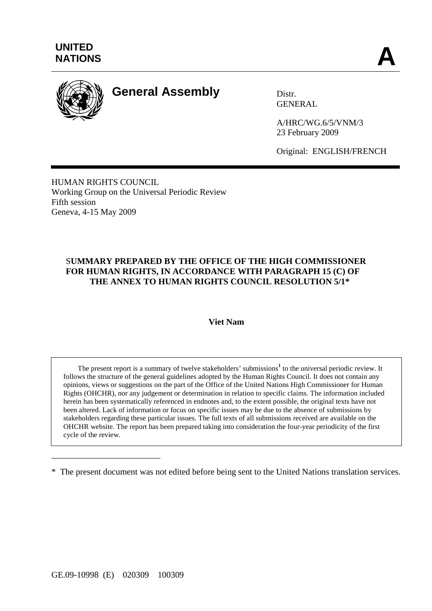

# **General Assembly** Distr.

GENERAL

A/HRC/WG.6/5/VNM/3 23 February 2009

Original: ENGLISH/FRENCH

HUMAN RIGHTS COUNCIL Working Group on the Universal Periodic Review Fifth session Geneva, 4-15 May 2009

# S**UMMARY PREPARED BY THE OFFICE OF THE HIGH COMMISSIONER FOR HUMAN RIGHTS, IN ACCORDANCE WITH PARAGRAPH 15 (C) OF THE ANNEX TO HUMAN RIGHTS COUNCIL RESOLUTION 5/1\***

#### **Viet Nam**

The present report is a summary of twelve stakeholders' submissions<sup>1</sup> to the universal periodic review. It follows the structure of the general guidelines adopted by the Human Rights Council. It does not contain any opinions, views or suggestions on the part of the Office of the United Nations High Commissioner for Human Rights (OHCHR), nor any judgement or determination in relation to specific claims. The information included herein has been systematically referenced in endnotes and, to the extent possible, the original texts have not been altered. Lack of information or focus on specific issues may be due to the absence of submissions by stakeholders regarding these particular issues. The full texts of all submissions received are available on the OHCHR website. The report has been prepared taking into consideration the four-year periodicity of the first cycle of the review.

\_\_\_\_\_\_\_\_\_\_\_\_\_\_\_\_\_\_\_\_\_\_\_\_\_

<sup>\*</sup> The present document was not edited before being sent to the United Nations translation services.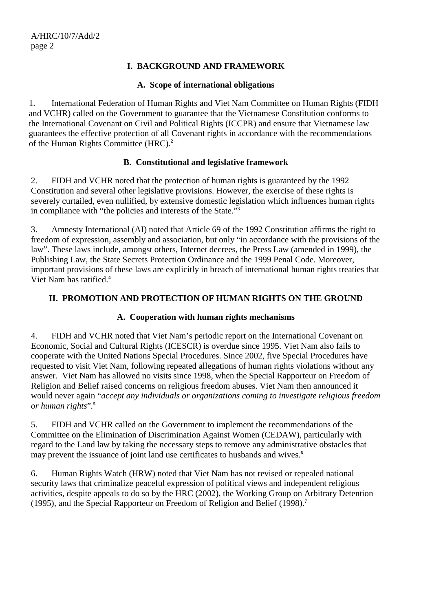# **I. BACKGROUND AND FRAMEWORK**

### **A. Scope of international obligations**

1. International Federation of Human Rights and Viet Nam Committee on Human Rights (FIDH and VCHR) called on the Government to guarantee that the Vietnamese Constitution conforms to the International Covenant on Civil and Political Rights (ICCPR) and ensure that Vietnamese law guarantees the effective protection of all Covenant rights in accordance with the recommendations of the Human Rights Committee (HRC).**<sup>2</sup>**

# **B. Constitutional and legislative framework**

2. FIDH and VCHR noted that the protection of human rights is guaranteed by the 1992 Constitution and several other legislative provisions. However, the exercise of these rights is severely curtailed, even nullified, by extensive domestic legislation which influences human rights in compliance with "the policies and interests of the State."**<sup>3</sup>**

3. Amnesty International (AI) noted that Article 69 of the 1992 Constitution affirms the right to freedom of expression, assembly and association, but only "in accordance with the provisions of the law". These laws include, amongst others, Internet decrees, the Press Law (amended in 1999), the Publishing Law, the State Secrets Protection Ordinance and the 1999 Penal Code. Moreover, important provisions of these laws are explicitly in breach of international human rights treaties that Viet Nam has ratified.**<sup>4</sup>**

# **II. PROMOTION AND PROTECTION OF HUMAN RIGHTS ON THE GROUND**

## **A. Cooperation with human rights mechanisms**

4. FIDH and VCHR noted that Viet Nam's periodic report on the International Covenant on Economic, Social and Cultural Rights (ICESCR) is overdue since 1995. Viet Nam also fails to cooperate with the United Nations Special Procedures. Since 2002, five Special Procedures have requested to visit Viet Nam, following repeated allegations of human rights violations without any answer. Viet Nam has allowed no visits since 1998, when the Special Rapporteur on Freedom of Religion and Belief raised concerns on religious freedom abuses. Viet Nam then announced it would never again "*accept any individuals or organizations coming to investigate religious freedom or human rights*"*.* **5**

5. FIDH and VCHR called on the Government to implement the recommendations of the Committee on the Elimination of Discrimination Against Women (CEDAW), particularly with regard to the Land law by taking the necessary steps to remove any administrative obstacles that may prevent the issuance of joint land use certificates to husbands and wives.**<sup>6</sup>**

6. Human Rights Watch (HRW) noted that Viet Nam has not revised or repealed national security laws that criminalize peaceful expression of political views and independent religious activities, despite appeals to do so by the HRC (2002), the Working Group on Arbitrary Detention (1995), and the Special Rapporteur on Freedom of Religion and Belief (1998).**7**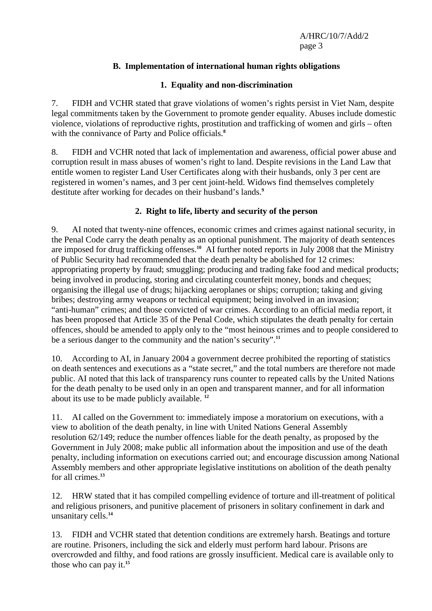# **B. Implementation of international human rights obligations**

## **1. Equality and non-discrimination**

7. FIDH and VCHR stated that grave violations of women's rights persist in Viet Nam, despite legal commitments taken by the Government to promote gender equality. Abuses include domestic violence, violations of reproductive rights, prostitution and trafficking of women and girls – often with the connivance of Party and Police officials.**<sup>8</sup>**

8. FIDH and VCHR noted that lack of implementation and awareness, official power abuse and corruption result in mass abuses of women's right to land. Despite revisions in the Land Law that entitle women to register Land User Certificates along with their husbands, only 3 per cent are registered in women's names, and 3 per cent joint-held. Widows find themselves completely destitute after working for decades on their husband's lands.**<sup>9</sup>**

# **2. Right to life, liberty and security of the person**

9. AI noted that twenty-nine offences, economic crimes and crimes against national security, in the Penal Code carry the death penalty as an optional punishment. The majority of death sentences are imposed for drug trafficking offenses.**<sup>10</sup>** AI further noted reports in July 2008 that the Ministry of Public Security had recommended that the death penalty be abolished for 12 crimes: appropriating property by fraud; smuggling; producing and trading fake food and medical products; being involved in producing, storing and circulating counterfeit money, bonds and cheques; organising the illegal use of drugs; hijacking aeroplanes or ships; corruption; taking and giving bribes; destroying army weapons or technical equipment; being involved in an invasion; "anti-human" crimes; and those convicted of war crimes. According to an official media report, it has been proposed that Article 35 of the Penal Code, which stipulates the death penalty for certain offences, should be amended to apply only to the "most heinous crimes and to people considered to be a serious danger to the community and the nation's security".**<sup>11</sup>**

10. According to AI, in January 2004 a government decree prohibited the reporting of statistics on death sentences and executions as a "state secret," and the total numbers are therefore not made public. AI noted that this lack of transparency runs counter to repeated calls by the United Nations for the death penalty to be used only in an open and transparent manner, and for all information about its use to be made publicly available. **<sup>12</sup>**

11. AI called on the Government to: immediately impose a moratorium on executions, with a view to abolition of the death penalty, in line with United Nations General Assembly resolution 62/149; reduce the number offences liable for the death penalty, as proposed by the Government in July 2008; make public all information about the imposition and use of the death penalty, including information on executions carried out; and encourage discussion among National Assembly members and other appropriate legislative institutions on abolition of the death penalty for all crimes.**<sup>13</sup>**

12. HRW stated that it has compiled compelling evidence of torture and ill-treatment of political and religious prisoners, and punitive placement of prisoners in solitary confinement in dark and unsanitary cells.**<sup>14</sup>**

13. FIDH and VCHR stated that detention conditions are extremely harsh. Beatings and torture are routine. Prisoners, including the sick and elderly must perform hard labour. Prisons are overcrowded and filthy, and food rations are grossly insufficient. Medical care is available only to those who can pay it.**15**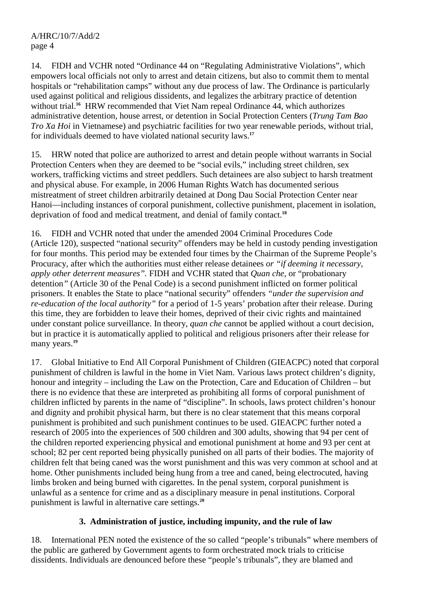14. FIDH and VCHR noted "Ordinance 44 on "Regulating Administrative Violations", which empowers local officials not only to arrest and detain citizens, but also to commit them to mental hospitals or "rehabilitation camps" without any due process of law. The Ordinance is particularly used against political and religious dissidents, and legalizes the arbitrary practice of detention without trial.<sup>16</sup> HRW recommended that Viet Nam repeal Ordinance 44, which authorizes administrative detention, house arrest, or detention in Social Protection Centers (*Trung Tam Bao Tro Xa Hoi* in Vietnamese) and psychiatric facilities for two year renewable periods, without trial, for individuals deemed to have violated national security laws.**<sup>17</sup>**

15. HRW noted that police are authorized to arrest and detain people without warrants in Social Protection Centers when they are deemed to be "social evils," including street children, sex workers, trafficking victims and street peddlers. Such detainees are also subject to harsh treatment and physical abuse. For example, in 2006 Human Rights Watch has documented serious mistreatment of street children arbitrarily detained at Dong Dau Social Protection Center near Hanoi—including instances of corporal punishment, collective punishment, placement in isolation, deprivation of food and medical treatment, and denial of family contact.**<sup>18</sup>**

16. FIDH and VCHR noted that under the amended 2004 Criminal Procedures Code (Article 120), suspected "national security" offenders may be held in custody pending investigation for four months. This period may be extended four times by the Chairman of the Supreme People's Procuracy, after which the authorities must either release detainees *or "if deeming it necessary, apply other deterrent measures".* FIDH and VCHR stated that *Quan che,* or "probationary detention*"* (Article 30 of the Penal Code) is a second punishment inflicted on former political prisoners. It enables the State to place "national security" offenders *"under the supervision and re-education of the local authority"* for a period of 1-5 years' probation after their release. During this time, they are forbidden to leave their homes, deprived of their civic rights and maintained under constant police surveillance. In theory, *quan che* cannot be applied without a court decision, but in practice it is automatically applied to political and religious prisoners after their release for many years.**<sup>19</sup>**

17. Global Initiative to End All Corporal Punishment of Children (GIEACPC) noted that corporal punishment of children is lawful in the home in Viet Nam. Various laws protect children's dignity, honour and integrity – including the Law on the Protection, Care and Education of Children – but there is no evidence that these are interpreted as prohibiting all forms of corporal punishment of children inflicted by parents in the name of "discipline". In schools, laws protect children's honour and dignity and prohibit physical harm, but there is no clear statement that this means corporal punishment is prohibited and such punishment continues to be used. GIEACPC further noted a research of 2005 into the experiences of 500 children and 300 adults, showing that 94 per cent of the children reported experiencing physical and emotional punishment at home and 93 per cent at school; 82 per cent reported being physically punished on all parts of their bodies. The majority of children felt that being caned was the worst punishment and this was very common at school and at home. Other punishments included being hung from a tree and caned, being electrocuted, having limbs broken and being burned with cigarettes. In the penal system, corporal punishment is unlawful as a sentence for crime and as a disciplinary measure in penal institutions. Corporal punishment is lawful in alternative care settings.**<sup>20</sup>**

# **3. Administration of justice, including impunity, and the rule of law**

18. International PEN noted the existence of the so called "people's tribunals" where members of the public are gathered by Government agents to form orchestrated mock trials to criticise dissidents. Individuals are denounced before these "people's tribunals", they are blamed and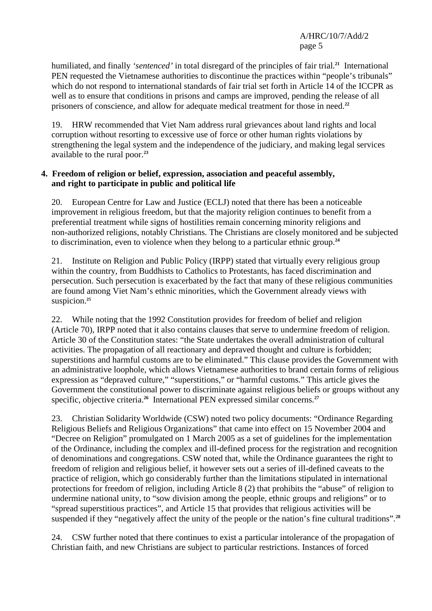humiliated, and finally *'sentenced'* in total disregard of the principles of fair trial.**<sup>21</sup>** International PEN requested the Vietnamese authorities to discontinue the practices within "people's tribunals" which do not respond to international standards of fair trial set forth in Article 14 of the ICCPR as well as to ensure that conditions in prisons and camps are improved, pending the release of all prisoners of conscience, and allow for adequate medical treatment for those in need.**<sup>22</sup>**

19. HRW recommended that Viet Nam address rural grievances about land rights and local corruption without resorting to excessive use of force or other human rights violations by strengthening the legal system and the independence of the judiciary, and making legal services available to the rural poor.**<sup>23</sup>**

### **4. Freedom of religion or belief, expression, association and peaceful assembly, and right to participate in public and political life**

20. European Centre for Law and Justice (ECLJ) noted that there has been a noticeable improvement in religious freedom, but that the majority religion continues to benefit from a preferential treatment while signs of hostilities remain concerning minority religions and non-authorized religions, notably Christians. The Christians are closely monitored and be subjected to discrimination, even to violence when they belong to a particular ethnic group.**<sup>24</sup>**

21. Institute on Religion and Public Policy (IRPP) stated that virtually every religious group within the country, from Buddhists to Catholics to Protestants, has faced discrimination and persecution. Such persecution is exacerbated by the fact that many of these religious communities are found among Viet Nam's ethnic minorities, which the Government already views with suspicion.**<sup>25</sup>**

22. While noting that the 1992 Constitution provides for freedom of belief and religion (Article 70), IRPP noted that it also contains clauses that serve to undermine freedom of religion. Article 30 of the Constitution states: "the State undertakes the overall administration of cultural activities. The propagation of all reactionary and depraved thought and culture is forbidden; superstitions and harmful customs are to be eliminated." This clause provides the Government with an administrative loophole, which allows Vietnamese authorities to brand certain forms of religious expression as "depraved culture," "superstitions," or "harmful customs." This article gives the Government the constitutional power to discriminate against religious beliefs or groups without any specific, objective criteria.**<sup>26</sup>** International PEN expressed similar concerns.**<sup>27</sup>**

23. Christian Solidarity Worldwide (CSW) noted two policy documents: "Ordinance Regarding Religious Beliefs and Religious Organizations" that came into effect on 15 November 2004 and "Decree on Religion" promulgated on 1 March 2005 as a set of guidelines for the implementation of the Ordinance, including the complex and ill-defined process for the registration and recognition of denominations and congregations. CSW noted that, while the Ordinance guarantees the right to freedom of religion and religious belief, it however sets out a series of ill-defined caveats to the practice of religion, which go considerably further than the limitations stipulated in international protections for freedom of religion, including Article 8 (2) that prohibits the "abuse" of religion to undermine national unity, to "sow division among the people, ethnic groups and religions" or to "spread superstitious practices", and Article 15 that provides that religious activities will be suspended if they "negatively affect the unity of the people or the nation's fine cultural traditions".**<sup>28</sup>**

24. CSW further noted that there continues to exist a particular intolerance of the propagation of Christian faith, and new Christians are subject to particular restrictions. Instances of forced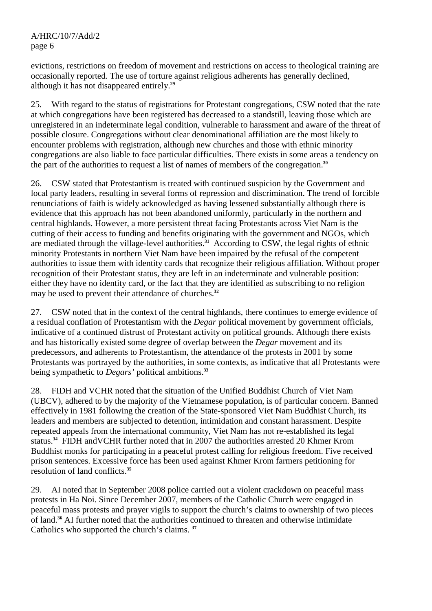evictions, restrictions on freedom of movement and restrictions on access to theological training are occasionally reported. The use of torture against religious adherents has generally declined, although it has not disappeared entirely.**<sup>29</sup>**

25. With regard to the status of registrations for Protestant congregations, CSW noted that the rate at which congregations have been registered has decreased to a standstill, leaving those which are unregistered in an indeterminate legal condition, vulnerable to harassment and aware of the threat of possible closure. Congregations without clear denominational affiliation are the most likely to encounter problems with registration, although new churches and those with ethnic minority congregations are also liable to face particular difficulties. There exists in some areas a tendency on the part of the authorities to request a list of names of members of the congregation.**<sup>30</sup>**

26. CSW stated that Protestantism is treated with continued suspicion by the Government and local party leaders, resulting in several forms of repression and discrimination. The trend of forcible renunciations of faith is widely acknowledged as having lessened substantially although there is evidence that this approach has not been abandoned uniformly, particularly in the northern and central highlands. However, a more persistent threat facing Protestants across Viet Nam is the cutting of their access to funding and benefits originating with the government and NGOs, which are mediated through the village-level authorities.**<sup>31</sup>** According to CSW, the legal rights of ethnic minority Protestants in northern Viet Nam have been impaired by the refusal of the competent authorities to issue them with identity cards that recognize their religious affiliation. Without proper recognition of their Protestant status, they are left in an indeterminate and vulnerable position: either they have no identity card, or the fact that they are identified as subscribing to no religion may be used to prevent their attendance of churches.**<sup>32</sup>**

27. CSW noted that in the context of the central highlands, there continues to emerge evidence of a residual conflation of Protestantism with the *Degar* political movement by government officials, indicative of a continued distrust of Protestant activity on political grounds. Although there exists and has historically existed some degree of overlap between the *Degar* movement and its predecessors, and adherents to Protestantism, the attendance of the protests in 2001 by some Protestants was portrayed by the authorities, in some contexts, as indicative that all Protestants were being sympathetic to *Degars'* political ambitions.**<sup>33</sup>**

28. FIDH and VCHR noted that the situation of the Unified Buddhist Church of Viet Nam (UBCV), adhered to by the majority of the Vietnamese population, is of particular concern. Banned effectively in 1981 following the creation of the State-sponsored Viet Nam Buddhist Church, its leaders and members are subjected to detention, intimidation and constant harassment. Despite repeated appeals from the international community, Viet Nam has not re-established its legal status.**<sup>34</sup>** FIDH andVCHR further noted that in 2007 the authorities arrested 20 Khmer Krom Buddhist monks for participating in a peaceful protest calling for religious freedom. Five received prison sentences. Excessive force has been used against Khmer Krom farmers petitioning for resolution of land conflicts.**<sup>35</sup>**

29. AI noted that in September 2008 police carried out a violent crackdown on peaceful mass protests in Ha Noi. Since December 2007, members of the Catholic Church were engaged in peaceful mass protests and prayer vigils to support the church's claims to ownership of two pieces of land.**<sup>36</sup>** AI further noted that the authorities continued to threaten and otherwise intimidate Catholics who supported the church's claims. **37**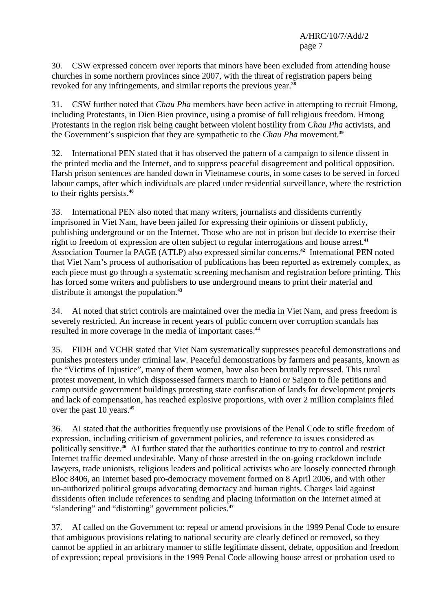30. CSW expressed concern over reports that minors have been excluded from attending house churches in some northern provinces since 2007, with the threat of registration papers being revoked for any infringements, and similar reports the previous year.**<sup>38</sup>**

31. CSW further noted that *Chau Pha* members have been active in attempting to recruit Hmong, including Protestants, in Dien Bien province, using a promise of full religious freedom. Hmong Protestants in the region risk being caught between violent hostility from *Chau Pha* activists, and the Government's suspicion that they are sympathetic to the *Chau Pha* movement.**<sup>39</sup>**

32. International PEN stated that it has observed the pattern of a campaign to silence dissent in the printed media and the Internet, and to suppress peaceful disagreement and political opposition. Harsh prison sentences are handed down in Vietnamese courts, in some cases to be served in forced labour camps, after which individuals are placed under residential surveillance, where the restriction to their rights persists.**<sup>40</sup>**

33. International PEN also noted that many writers, journalists and dissidents currently imprisoned in Viet Nam, have been jailed for expressing their opinions or dissent publicly, publishing underground or on the Internet. Those who are not in prison but decide to exercise their right to freedom of expression are often subject to regular interrogations and house arrest.**<sup>41</sup>** Association Tourner la PAGE (ATLP) also expressed similar concerns.**<sup>42</sup>** International PEN noted that Viet Nam's process of authorisation of publications has been reported as extremely complex, as each piece must go through a systematic screening mechanism and registration before printing. This has forced some writers and publishers to use underground means to print their material and distribute it amongst the population.**<sup>43</sup>**

34. AI noted that strict controls are maintained over the media in Viet Nam, and press freedom is severely restricted. An increase in recent years of public concern over corruption scandals has resulted in more coverage in the media of important cases.**<sup>44</sup>**

35. FIDH and VCHR stated that Viet Nam systematically suppresses peaceful demonstrations and punishes protesters under criminal law. Peaceful demonstrations by farmers and peasants, known as the "Victims of Injustice", many of them women, have also been brutally repressed. This rural protest movement, in which dispossessed farmers march to Hanoi or Saigon to file petitions and camp outside government buildings protesting state confiscation of lands for development projects and lack of compensation, has reached explosive proportions, with over 2 million complaints filed over the past 10 years.**<sup>45</sup>**

36. AI stated that the authorities frequently use provisions of the Penal Code to stifle freedom of expression, including criticism of government policies, and reference to issues considered as politically sensitive.**<sup>46</sup>** AI further stated that the authorities continue to try to control and restrict Internet traffic deemed undesirable. Many of those arrested in the on-going crackdown include lawyers, trade unionists, religious leaders and political activists who are loosely connected through Bloc 8406, an Internet based pro-democracy movement formed on 8 April 2006, and with other un-authorized political groups advocating democracy and human rights. Charges laid against dissidents often include references to sending and placing information on the Internet aimed at "slandering" and "distorting" government policies.**<sup>47</sup>**

37. AI called on the Government to: repeal or amend provisions in the 1999 Penal Code to ensure that ambiguous provisions relating to national security are clearly defined or removed, so they cannot be applied in an arbitrary manner to stifle legitimate dissent, debate, opposition and freedom of expression; repeal provisions in the 1999 Penal Code allowing house arrest or probation used to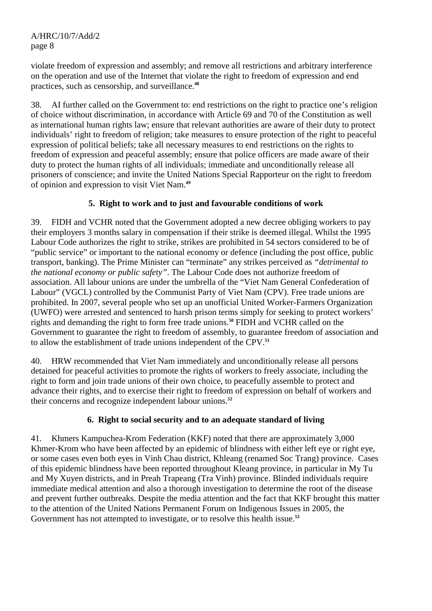violate freedom of expression and assembly; and remove all restrictions and arbitrary interference on the operation and use of the Internet that violate the right to freedom of expression and end practices, such as censorship, and surveillance.**<sup>48</sup>**

38. AI further called on the Government to: end restrictions on the right to practice one's religion of choice without discrimination, in accordance with Article 69 and 70 of the Constitution as well as international human rights law; ensure that relevant authorities are aware of their duty to protect individuals' right to freedom of religion; take measures to ensure protection of the right to peaceful expression of political beliefs; take all necessary measures to end restrictions on the rights to freedom of expression and peaceful assembly; ensure that police officers are made aware of their duty to protect the human rights of all individuals; immediate and unconditionally release all prisoners of conscience; and invite the United Nations Special Rapporteur on the right to freedom of opinion and expression to visit Viet Nam.**<sup>49</sup>**

# **5. Right to work and to just and favourable conditions of work**

39. FIDH and VCHR noted that the Government adopted a new decree obliging workers to pay their employers 3 months salary in compensation if their strike is deemed illegal. Whilst the 1995 Labour Code authorizes the right to strike, strikes are prohibited in 54 sectors considered to be of "public service" or important to the national economy or defence (including the post office, public transport, banking). The Prime Minister can "terminate" any strikes perceived as *"detrimental to the national economy or public safety"*. The Labour Code does not authorize freedom of association. All labour unions are under the umbrella of the "Viet Nam General Confederation of Labour" (VGCL) controlled by the Communist Party of Viet Nam (CPV). Free trade unions are prohibited. In 2007, several people who set up an unofficial United Worker-Farmers Organization (UWFO) were arrested and sentenced to harsh prison terms simply for seeking to protect workers' rights and demanding the right to form free trade unions.**<sup>50</sup>** FIDH and VCHR called on the Government to guarantee the right to freedom of assembly, to guarantee freedom of association and to allow the establishment of trade unions independent of the CPV.**<sup>51</sup>**

40. HRW recommended that Viet Nam immediately and unconditionally release all persons detained for peaceful activities to promote the rights of workers to freely associate, including the right to form and join trade unions of their own choice, to peacefully assemble to protect and advance their rights, and to exercise their right to freedom of expression on behalf of workers and their concerns and recognize independent labour unions.**<sup>52</sup>**

## **6. Right to social security and to an adequate standard of living**

41. Khmers Kampuchea-Krom Federation (KKF) noted that there are approximately 3,000 Khmer-Krom who have been affected by an epidemic of blindness with either left eye or right eye, or some cases even both eyes in Vinh Chau district, Khleang (renamed Soc Trang) province. Cases of this epidemic blindness have been reported throughout Kleang province, in particular in My Tu and My Xuyen districts, and in Preah Trapeang (Tra Vinh) province. Blinded individuals require immediate medical attention and also a thorough investigation to determine the root of the disease and prevent further outbreaks. Despite the media attention and the fact that KKF brought this matter to the attention of the United Nations Permanent Forum on Indigenous Issues in 2005, the Government has not attempted to investigate, or to resolve this health issue.**53**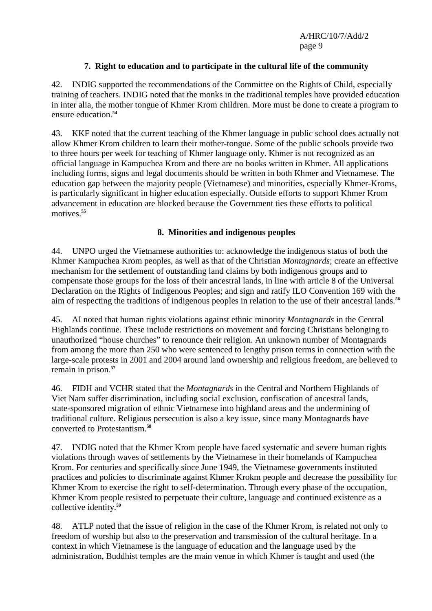## **7. Right to education and to participate in the cultural life of the community**

42. INDIG supported the recommendations of the Committee on the Rights of Child, especially training of teachers. INDIG noted that the monks in the traditional temples have provided education in inter alia, the mother tongue of Khmer Krom children. More must be done to create a program to ensure education.**<sup>54</sup>**

43. KKF noted that the current teaching of the Khmer language in public school does actually not allow Khmer Krom children to learn their mother-tongue. Some of the public schools provide two to three hours per week for teaching of Khmer language only. Khmer is not recognized as an official language in Kampuchea Krom and there are no books written in Khmer. All applications including forms, signs and legal documents should be written in both Khmer and Vietnamese. The education gap between the majority people (Vietnamese) and minorities, especially Khmer-Kroms, is particularly significant in higher education especially. Outside efforts to support Khmer Krom advancement in education are blocked because the Government ties these efforts to political motives.**<sup>55</sup>**

#### **8. Minorities and indigenous peoples**

44. UNPO urged the Vietnamese authorities to: acknowledge the indigenous status of both the Khmer Kampuchea Krom peoples, as well as that of the Christian *Montagnards*; create an effective mechanism for the settlement of outstanding land claims by both indigenous groups and to compensate those groups for the loss of their ancestral lands, in line with article 8 of the Universal Declaration on the Rights of Indigenous Peoples; and sign and ratify ILO Convention 169 with the aim of respecting the traditions of indigenous peoples in relation to the use of their ancestral lands.**56** 

45. AI noted that human rights violations against ethnic minority *Montagnards* in the Central Highlands continue. These include restrictions on movement and forcing Christians belonging to unauthorized "house churches" to renounce their religion. An unknown number of Montagnards from among the more than 250 who were sentenced to lengthy prison terms in connection with the large-scale protests in 2001 and 2004 around land ownership and religious freedom, are believed to remain in prison.**<sup>57</sup>**

46. FIDH and VCHR stated that the *Montagnards* in the Central and Northern Highlands of Viet Nam suffer discrimination, including social exclusion, confiscation of ancestral lands, state-sponsored migration of ethnic Vietnamese into highland areas and the undermining of traditional culture. Religious persecution is also a key issue, since many Montagnards have converted to Protestantism.**<sup>58</sup>**

47. INDIG noted that the Khmer Krom people have faced systematic and severe human rights violations through waves of settlements by the Vietnamese in their homelands of Kampuchea Krom. For centuries and specifically since June 1949, the Vietnamese governments instituted practices and policies to discriminate against Khmer Krokm people and decrease the possibility for Khmer Krom to exercise the right to self-determination. Through every phase of the occupation, Khmer Krom people resisted to perpetuate their culture, language and continued existence as a collective identity.**<sup>59</sup>**

48. ATLP noted that the issue of religion in the case of the Khmer Krom, is related not only to freedom of worship but also to the preservation and transmission of the cultural heritage. In a context in which Vietnamese is the language of education and the language used by the administration, Buddhist temples are the main venue in which Khmer is taught and used (the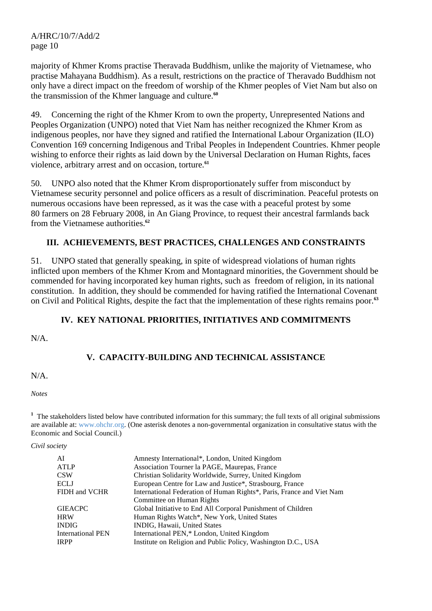majority of Khmer Kroms practise Theravada Buddhism, unlike the majority of Vietnamese, who practise Mahayana Buddhism). As a result, restrictions on the practice of Theravado Buddhism not only have a direct impact on the freedom of worship of the Khmer peoples of Viet Nam but also on the transmission of the Khmer language and culture.**<sup>60</sup>**

49. Concerning the right of the Khmer Krom to own the property, Unrepresented Nations and Peoples Organization (UNPO) noted that Viet Nam has neither recognized the Khmer Krom as indigenous peoples, nor have they signed and ratified the International Labour Organization (ILO) Convention 169 concerning Indigenous and Tribal Peoples in Independent Countries. Khmer people wishing to enforce their rights as laid down by the Universal Declaration on Human Rights, faces violence, arbitrary arrest and on occasion, torture.**<sup>61</sup>**

50. UNPO also noted that the Khmer Krom disproportionately suffer from misconduct by Vietnamese security personnel and police officers as a result of discrimination. Peaceful protests on numerous occasions have been repressed, as it was the case with a peaceful protest by some 80 farmers on 28 February 2008, in An Giang Province, to request their ancestral farmlands back from the Vietnamese authorities.**<sup>62</sup>**

## **III. ACHIEVEMENTS, BEST PRACTICES, CHALLENGES AND CONSTRAINTS**

51. UNPO stated that generally speaking, in spite of widespread violations of human rights inflicted upon members of the Khmer Krom and Montagnard minorities, the Government should be commended for having incorporated key human rights, such as freedom of religion, in its national constitution. In addition, they should be commended for having ratified the International Covenant on Civil and Political Rights, despite the fact that the implementation of these rights remains poor.**<sup>63</sup>**

## **IV. KEY NATIONAL PRIORITIES, INITIATIVES AND COMMITMENTS**

N/A.

# **V. CAPACITY-BUILDING AND TECHNICAL ASSISTANCE**

N/A.

*Notes* 

<sup>1</sup> The stakeholders listed below have contributed information for this summary; the full texts of all original submissions are available at: www.ohchr.org. (One asterisk denotes a non-governmental organization in consultative status with the Economic and Social Council.)

*Civil society* 

| AI                       | Amnesty International*, London, United Kingdom                        |
|--------------------------|-----------------------------------------------------------------------|
| <b>ATLP</b>              | Association Tourner la PAGE, Maurepas, France                         |
| <b>CSW</b>               | Christian Solidarity Worldwide, Surrey, United Kingdom                |
| <b>ECLJ</b>              | European Centre for Law and Justice*, Strasbourg, France              |
| FIDH and VCHR            | International Federation of Human Rights*, Paris, France and Viet Nam |
|                          | Committee on Human Rights                                             |
| <b>GIEACPC</b>           | Global Initiative to End All Corporal Punishment of Children          |
| <b>HRW</b>               | Human Rights Watch*, New York, United States                          |
| <b>INDIG</b>             | INDIG, Hawaii, United States                                          |
| <b>International PEN</b> | International PEN,* London, United Kingdom                            |
| <b>IRPP</b>              | Institute on Religion and Public Policy, Washington D.C., USA         |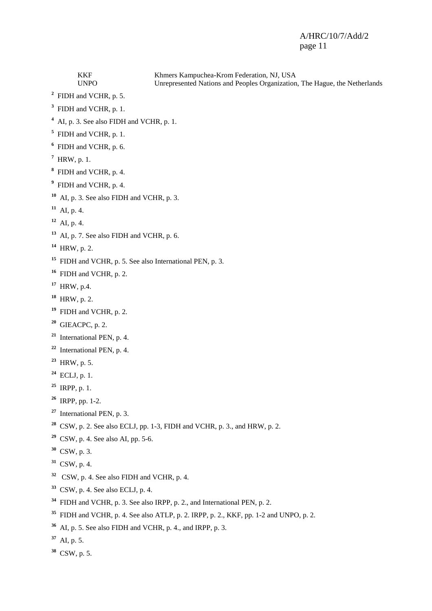KKF Khmers Kampuchea-Krom Federation, NJ, USA<br>UNPO Unrepresented Nations and Peoples Organization Unrepresented Nations and Peoples Organization, The Hague, the Netherlands FIDH and VCHR, p. 5. FIDH and VCHR, p. 1. <sup>4</sup> AI, p. 3. See also FIDH and VCHR, p. 1. FIDH and VCHR, p. 1. FIDH and VCHR, p. 6. HRW, p. 1. FIDH and VCHR, p. 4. FIDH and VCHR, p. 4. AI, p. 3. See also FIDH and VCHR, p. 3. AI, p. 4. AI, p. 4. AI, p. 7. See also FIDH and VCHR, p. 6. HRW, p. 2. FIDH and VCHR, p. 5. See also International PEN, p. 3. FIDH and VCHR, p. 2. HRW, p.4. HRW, p. 2. FIDH and VCHR, p. 2. GIEACPC, p. 2. International PEN, p. 4. International PEN, p. 4. HRW, p. 5. ECLJ, p. 1. IRPP, p. 1. IRPP, pp. 1-2. International PEN, p. 3. CSW, p. 2. See also ECLJ, pp. 1-3, FIDH and VCHR, p. 3., and HRW, p. 2. CSW, p. 4. See also AI, pp. 5-6. CSW, p. 3. CSW, p. 4. CSW, p. 4. See also FIDH and VCHR, p. 4. CSW, p. 4. See also ECLJ, p. 4. FIDH and VCHR, p. 3. See also IRPP, p. 2., and International PEN, p. 2. FIDH and VCHR, p. 4. See also ATLP, p. 2. IRPP, p. 2., KKF, pp. 1-2 and UNPO, p. 2. AI, p. 5. See also FIDH and VCHR, p. 4., and IRPP, p. 3. AI, p. 5.

CSW, p. 5.